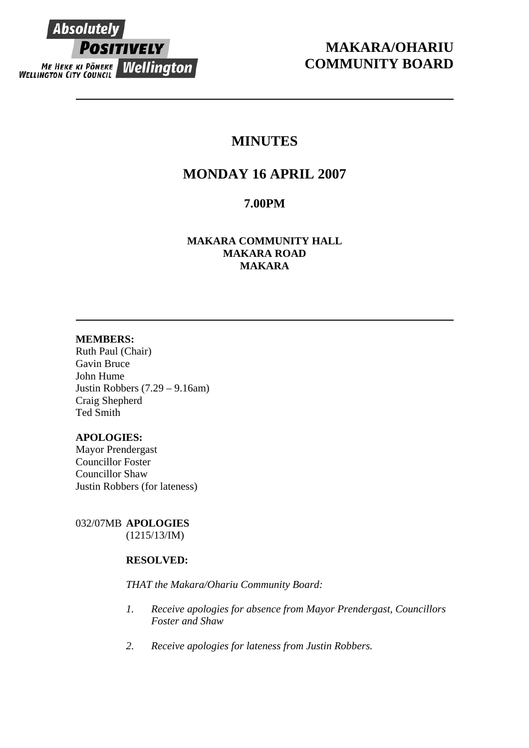

# **MAKARA/OHARIU COMMUNITY BOARD**

# **MINUTES**

# **MONDAY 16 APRIL 2007**

# **7.00PM**

**MAKARA COMMUNITY HALL MAKARA ROAD MAKARA** 

# **MEMBERS:**

Ruth Paul (Chair) Gavin Bruce John Hume Justin Robbers (7.29 – 9.16am) Craig Shepherd Ted Smith

# **APOLOGIES:**

Mayor Prendergast Councillor Foster Councillor Shaw Justin Robbers (for lateness)

032/07MB **APOLOGIES** (1215/13/IM)

# **RESOLVED:**

# *THAT the Makara/Ohariu Community Board:*

- *1. Receive apologies for absence from Mayor Prendergast, Councillors Foster and Shaw*
- *2. Receive apologies for lateness from Justin Robbers.*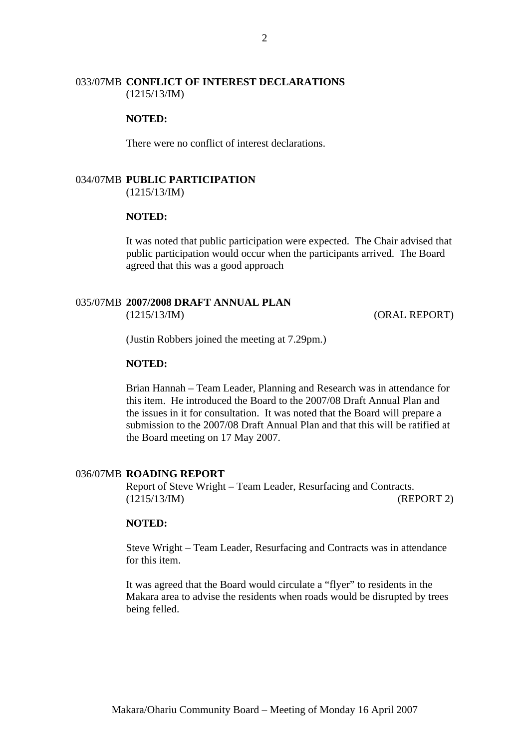## 033/07MB **CONFLICT OF INTEREST DECLARATIONS** (1215/13/IM)

### **NOTED:**

There were no conflict of interest declarations.

# 034/07MB **PUBLIC PARTICIPATION**

(1215/13/IM)

#### **NOTED:**

It was noted that public participation were expected. The Chair advised that public participation would occur when the participants arrived. The Board agreed that this was a good approach

# 035/07MB **2007/2008 DRAFT ANNUAL PLAN**

(1215/13/IM) (ORAL REPORT)

(Justin Robbers joined the meeting at 7.29pm.)

# **NOTED:**

Brian Hannah – Team Leader, Planning and Research was in attendance for this item. He introduced the Board to the 2007/08 Draft Annual Plan and the issues in it for consultation. It was noted that the Board will prepare a submission to the 2007/08 Draft Annual Plan and that this will be ratified at the Board meeting on 17 May 2007.

#### 036/07MB **ROADING REPORT**

Report of Steve Wright – Team Leader, Resurfacing and Contracts. (1215/13/IM) (REPORT 2)

## **NOTED:**

Steve Wright – Team Leader, Resurfacing and Contracts was in attendance for this item.

It was agreed that the Board would circulate a "flyer" to residents in the Makara area to advise the residents when roads would be disrupted by trees being felled.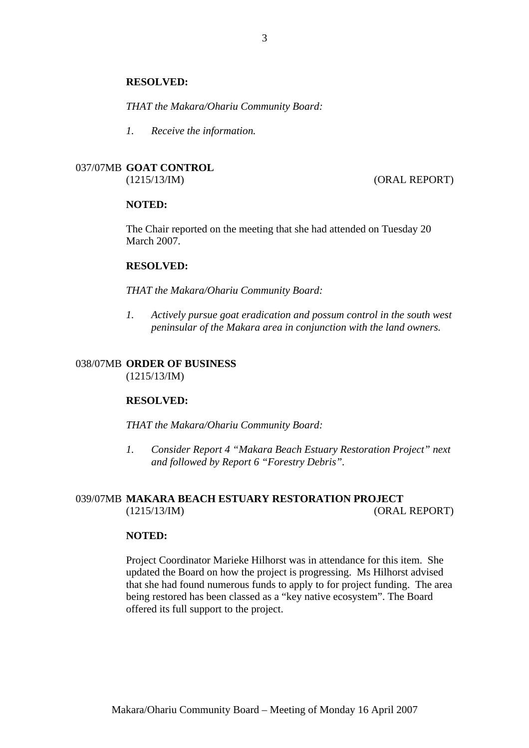#### **RESOLVED:**

*THAT the Makara/Ohariu Community Board:* 

*1. Receive the information.*

# 037/07MB **GOAT CONTROL**

(1215/13/IM) (ORAL REPORT)

### **NOTED:**

The Chair reported on the meeting that she had attended on Tuesday 20 March 2007.

#### **RESOLVED:**

*THAT the Makara/Ohariu Community Board:* 

*1. Actively pursue goat eradication and possum control in the south west peninsular of the Makara area in conjunction with the land owners.* 

# 038/07MB **ORDER OF BUSINESS**

(1215/13/IM)

#### **RESOLVED:**

*THAT the Makara/Ohariu Community Board:* 

*1. Consider Report 4 "Makara Beach Estuary Restoration Project" next and followed by Report 6 "Forestry Debris".*

# 039/07MB **MAKARA BEACH ESTUARY RESTORATION PROJECT** (1215/13/IM) (ORAL REPORT)

## **NOTED:**

Project Coordinator Marieke Hilhorst was in attendance for this item. She updated the Board on how the project is progressing. Ms Hilhorst advised that she had found numerous funds to apply to for project funding. The area being restored has been classed as a "key native ecosystem". The Board offered its full support to the project.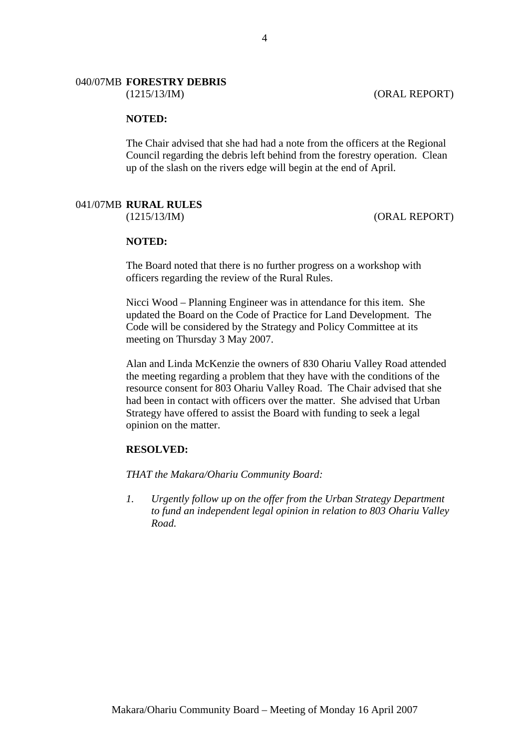### 040/07MB **FORESTRY DEBRIS**

(1215/13/IM) (ORAL REPORT)

## **NOTED:**

The Chair advised that she had had a note from the officers at the Regional Council regarding the debris left behind from the forestry operation. Clean up of the slash on the rivers edge will begin at the end of April.

### 041/07MB **RURAL RULES**

(1215/13/IM) (ORAL REPORT)

#### **NOTED:**

The Board noted that there is no further progress on a workshop with officers regarding the review of the Rural Rules.

Nicci Wood – Planning Engineer was in attendance for this item. She updated the Board on the Code of Practice for Land Development. The Code will be considered by the Strategy and Policy Committee at its meeting on Thursday 3 May 2007.

Alan and Linda McKenzie the owners of 830 Ohariu Valley Road attended the meeting regarding a problem that they have with the conditions of the resource consent for 803 Ohariu Valley Road. The Chair advised that she had been in contact with officers over the matter. She advised that Urban Strategy have offered to assist the Board with funding to seek a legal opinion on the matter.

#### **RESOLVED:**

*THAT the Makara/Ohariu Community Board:* 

*1. Urgently follow up on the offer from the Urban Strategy Department to fund an independent legal opinion in relation to 803 Ohariu Valley Road.*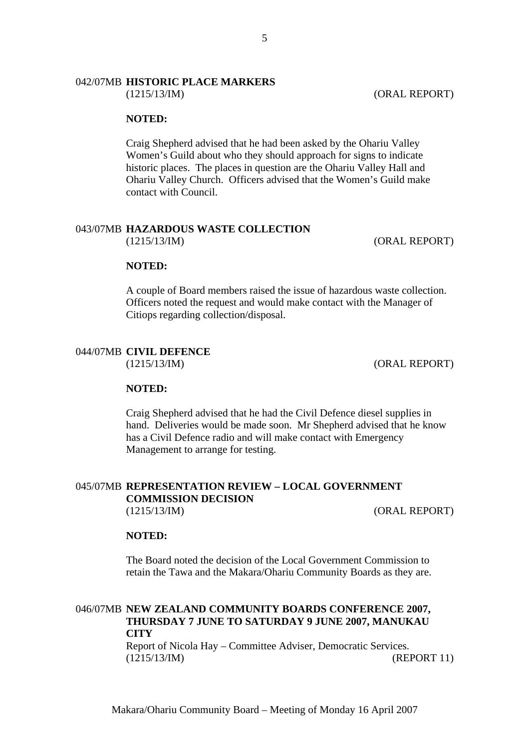# 042/07MB **HISTORIC PLACE MARKERS**

(1215/13/IM) (ORAL REPORT)

### **NOTED:**

Craig Shepherd advised that he had been asked by the Ohariu Valley Women's Guild about who they should approach for signs to indicate historic places. The places in question are the Ohariu Valley Hall and Ohariu Valley Church. Officers advised that the Women's Guild make contact with Council.

#### 043/07MB **HAZARDOUS WASTE COLLECTION** (1215/13/IM) (ORAL REPORT)

#### **NOTED:**

A couple of Board members raised the issue of hazardous waste collection. Officers noted the request and would make contact with the Manager of Citiops regarding collection/disposal.

#### 044/07MB **CIVIL DEFENCE**

(1215/13/IM) (ORAL REPORT)

#### **NOTED:**

Craig Shepherd advised that he had the Civil Defence diesel supplies in hand. Deliveries would be made soon. Mr Shepherd advised that he know has a Civil Defence radio and will make contact with Emergency Management to arrange for testing.

### 045/07MB **REPRESENTATION REVIEW – LOCAL GOVERNMENT COMMISSION DECISION** (1215/13/IM) (ORAL REPORT)

## **NOTED:**

The Board noted the decision of the Local Government Commission to retain the Tawa and the Makara/Ohariu Community Boards as they are.

# 046/07MB **NEW ZEALAND COMMUNITY BOARDS CONFERENCE 2007, THURSDAY 7 JUNE TO SATURDAY 9 JUNE 2007, MANUKAU CITY**

Report of Nicola Hay – Committee Adviser, Democratic Services. (1215/13/IM) (REPORT 11)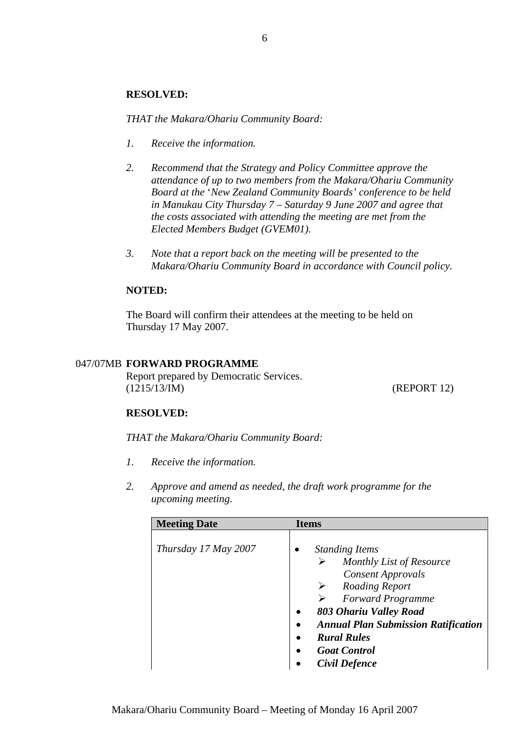## **RESOLVED:**

*THAT the Makara/Ohariu Community Board:* 

- *1. Receive the information.*
- *2. Recommend that the Strategy and Policy Committee approve the attendance of up to two members from the Makara/Ohariu Community Board at the* '*New Zealand Community Boards' conference to be held in Manukau City Thursday 7 – Saturday 9 June 2007 and agree that the costs associated with attending the meeting are met from the Elected Members Budget (GVEM01).*
- *3. Note that a report back on the meeting will be presented to the Makara/Ohariu Community Board in accordance with Council policy.*

### **NOTED:**

The Board will confirm their attendees at the meeting to be held on Thursday 17 May 2007.

## 047/07MB **FORWARD PROGRAMME**

Report prepared by Democratic Services. (1215/13/IM) (REPORT 12)

#### **RESOLVED:**

*THAT the Makara/Ohariu Community Board:* 

- *1. Receive the information.*
- *2. Approve and amend as needed, the draft work programme for the upcoming meeting.*

| <b>Meeting Date</b>  | <b>Items</b>                                                                                                                                                                                                                                                                                                   |
|----------------------|----------------------------------------------------------------------------------------------------------------------------------------------------------------------------------------------------------------------------------------------------------------------------------------------------------------|
| Thursday 17 May 2007 | <b>Standing Items</b><br>Monthly List of Resource<br><b>Consent Approvals</b><br><b>Roading Report</b><br>➤<br><b>Forward Programme</b><br>803 Ohariu Valley Road<br><b>Annual Plan Submission Ratification</b><br>$\bullet$<br><b>Rural Rules</b><br>$\bullet$<br><b>Goat Control</b><br><b>Civil Defence</b> |